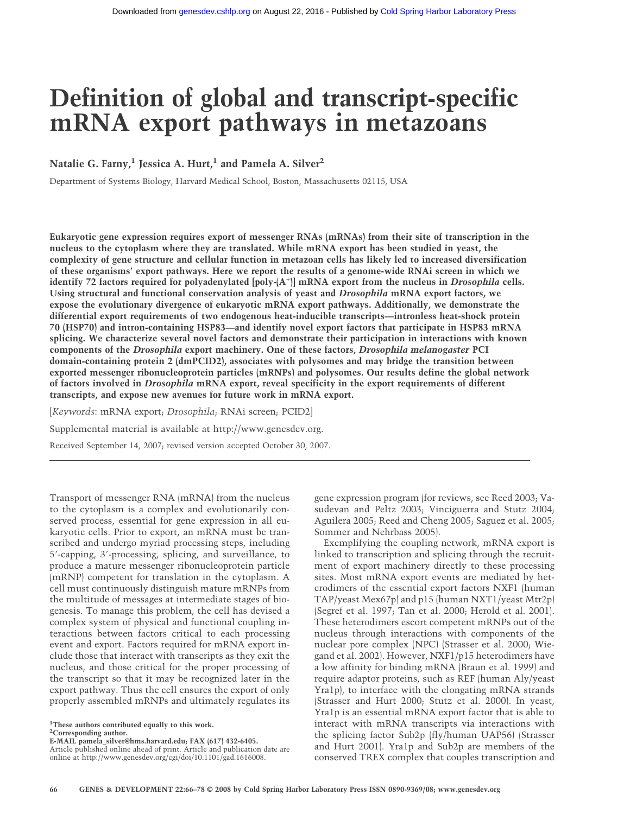# **Definition of global and transcript-specific mRNA export pathways in metazoans**

Natalie G. Farny,<sup>1</sup> Jessica A. Hurt,<sup>1</sup> and Pamela A. Silver<sup>2</sup>

Department of Systems Biology, Harvard Medical School, Boston, Massachusetts 02115, USA

**Eukaryotic gene expression requires export of messenger RNAs (mRNAs) from their site of transcription in the nucleus to the cytoplasm where they are translated. While mRNA export has been studied in yeast, the complexity of gene structure and cellular function in metazoan cells has likely led to increased diversification of these organisms' export pathways. Here we report the results of a genome-wide RNAi screen in which we identify 72 factors required for polyadenylated [poly-(A+ )] mRNA export from the nucleus in** *Drosophila* **cells. Using structural and functional conservation analysis of yeast and** *Drosophila* **mRNA export factors, we expose the evolutionary divergence of eukaryotic mRNA export pathways. Additionally, we demonstrate the differential export requirements of two endogenous heat-inducible transcripts—intronless heat-shock protein 70 (HSP70) and intron-containing HSP83—and identify novel export factors that participate in HSP83 mRNA splicing. We characterize several novel factors and demonstrate their participation in interactions with known components of the** *Drosophila* **export machinery. One of these factors,** *Drosophila melanogaster* **PCI domain-containing protein 2 (dmPCID2), associates with polysomes and may bridge the transition between exported messenger ribonucleoprotein particles (mRNPs) and polysomes. Our results define the global network of factors involved in** *Drosophila* **mRNA export, reveal specificity in the export requirements of different transcripts, and expose new avenues for future work in mRNA export.**

[*Keywords*: mRNA export; *Drosophila*; RNAi screen; PCID2]

Supplemental material is available at http://www.genesdev.org.

Received September 14, 2007; revised version accepted October 30, 2007.

Transport of messenger RNA (mRNA) from the nucleus to the cytoplasm is a complex and evolutionarily conserved process, essential for gene expression in all eukaryotic cells. Prior to export, an mRNA must be transcribed and undergo myriad processing steps, including 5-capping, 3-processing, splicing, and surveillance, to produce a mature messenger ribonucleoprotein particle (mRNP) competent for translation in the cytoplasm. A cell must continuously distinguish mature mRNPs from the multitude of messages at intermediate stages of biogenesis. To manage this problem, the cell has devised a complex system of physical and functional coupling interactions between factors critical to each processing event and export. Factors required for mRNA export include those that interact with transcripts as they exit the nucleus, and those critical for the proper processing of the transcript so that it may be recognized later in the export pathway. Thus the cell ensures the export of only properly assembled mRNPs and ultimately regulates its

**1 These authors contributed equally to this work. 2 Corresponding author.**

**E-MAIL pamela\_silver@hms.harvard.edu; FAX (617) 432-6405.**

Article published online ahead of print. Article and publication date are online at http://www.genesdev.org/cgi/doi/10.1101/gad.1616008.

gene expression program (for reviews, see Reed 2003; Vasudevan and Peltz 2003; Vinciguerra and Stutz 2004; Aguilera 2005; Reed and Cheng 2005; Saguez et al. 2005; Sommer and Nehrbass 2005).

Exemplifying the coupling network, mRNA export is linked to transcription and splicing through the recruitment of export machinery directly to these processing sites. Most mRNA export events are mediated by heterodimers of the essential export factors NXF1 (human TAP/yeast Mex67p) and p15 (human NXT1/yeast Mtr2p) (Segref et al. 1997; Tan et al. 2000; Herold et al. 2001). These heterodimers escort competent mRNPs out of the nucleus through interactions with components of the nuclear pore complex (NPC) (Strasser et al. 2000; Wiegand et al. 2002). However, NXF1/p15 heterodimers have a low affinity for binding mRNA (Braun et al. 1999) and require adaptor proteins, such as REF (human Aly/yeast Yra1p), to interface with the elongating mRNA strands (Strasser and Hurt 2000; Stutz et al. 2000). In yeast, Yra1p is an essential mRNA export factor that is able to interact with mRNA transcripts via interactions with the splicing factor Sub2p (fly/human UAP56) (Strasser and Hurt 2001). Yra1p and Sub2p are members of the conserved TREX complex that couples transcription and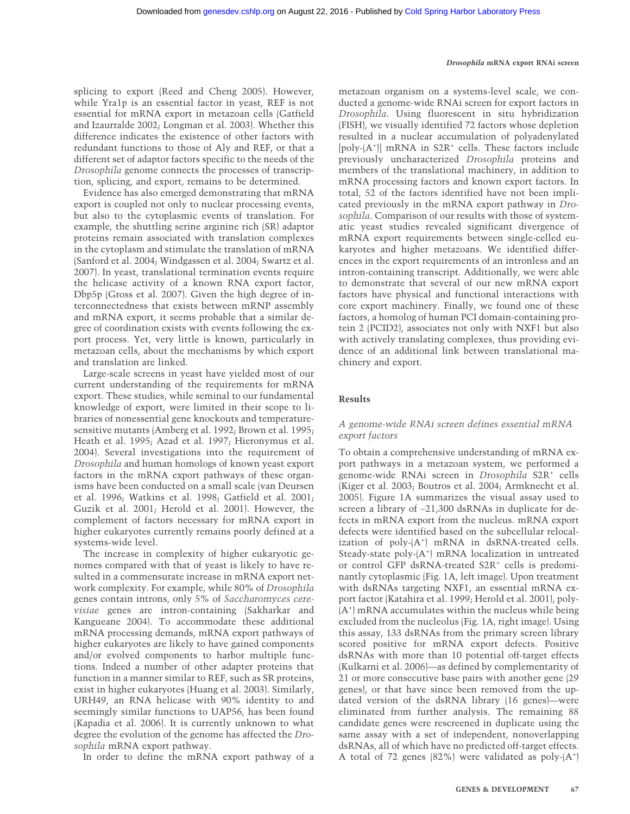splicing to export (Reed and Cheng 2005). However, while Yra1p is an essential factor in yeast, REF is not essential for mRNA export in metazoan cells (Gatfield and Izaurralde 2002; Longman et al. 2003). Whether this difference indicates the existence of other factors with redundant functions to those of Aly and REF, or that a different set of adaptor factors specific to the needs of the *Drosophila* genome connects the processes of transcription, splicing, and export, remains to be determined.

Evidence has also emerged demonstrating that mRNA export is coupled not only to nuclear processing events, but also to the cytoplasmic events of translation. For example, the shuttling serine arginine rich (SR) adaptor proteins remain associated with translation complexes in the cytoplasm and stimulate the translation of mRNA (Sanford et al. 2004; Windgassen et al. 2004; Swartz et al. 2007). In yeast, translational termination events require the helicase activity of a known RNA export factor, Dbp5p (Gross et al. 2007). Given the high degree of interconnectedness that exists between mRNP assembly and mRNA export, it seems probable that a similar degree of coordination exists with events following the export process. Yet, very little is known, particularly in metazoan cells, about the mechanisms by which export and translation are linked.

Large-scale screens in yeast have yielded most of our current understanding of the requirements for mRNA export. These studies, while seminal to our fundamental knowledge of export, were limited in their scope to libraries of nonessential gene knockouts and temperaturesensitive mutants (Amberg et al. 1992; Brown et al. 1995; Heath et al. 1995; Azad et al. 1997; Hieronymus et al. 2004). Several investigations into the requirement of *Drosophila* and human homologs of known yeast export factors in the mRNA export pathways of these organisms have been conducted on a small scale (van Deursen et al. 1996; Watkins et al. 1998; Gatfield et al. 2001; Guzik et al. 2001; Herold et al. 2001). However, the complement of factors necessary for mRNA export in higher eukaryotes currently remains poorly defined at a systems-wide level.

The increase in complexity of higher eukaryotic genomes compared with that of yeast is likely to have resulted in a commensurate increase in mRNA export network complexity. For example, while 80% of *Drosophila* genes contain introns, only 5% of *Saccharomyces cerevisiae* genes are intron-containing (Sakharkar and Kangueane 2004). To accommodate these additional mRNA processing demands, mRNA export pathways of higher eukaryotes are likely to have gained components and/or evolved components to harbor multiple functions. Indeed a number of other adapter proteins that function in a manner similar to REF, such as SR proteins, exist in higher eukaryotes (Huang et al. 2003). Similarly, URH49, an RNA helicase with 90% identity to and seemingly similar functions to UAP56, has been found (Kapadia et al. 2006). It is currently unknown to what degree the evolution of the genome has affected the *Drosophila* mRNA export pathway.

In order to define the mRNA export pathway of a

metazoan organism on a systems-level scale, we conducted a genome-wide RNAi screen for export factors in *Drosophila*. Using fluorescent in situ hybridization (FISH), we visually identified 72 factors whose depletion resulted in a nuclear accumulation of polyadenylated [poly-(A<sup>+</sup>)] mRNA in S2R<sup>+</sup> cells. These factors include previously uncharacterized *Drosophila* proteins and members of the translational machinery, in addition to mRNA processing factors and known export factors. In total, 52 of the factors identified have not been implicated previously in the mRNA export pathway in *Drosophila*. Comparison of our results with those of systematic yeast studies revealed significant divergence of mRNA export requirements between single-celled eukaryotes and higher metazoans. We identified differences in the export requirements of an intronless and an intron-containing transcript. Additionally, we were able to demonstrate that several of our new mRNA export factors have physical and functional interactions with core export machinery. Finally, we found one of these factors, a homolog of human PCI domain-containing protein 2 (PCID2), associates not only with NXF1 but also with actively translating complexes, thus providing evidence of an additional link between translational machinery and export.

# **Results**

# *A genome-wide RNAi screen defines essential mRNA export factors*

To obtain a comprehensive understanding of mRNA export pathways in a metazoan system, we performed a genome-wide RNAi screen in *Drosophila* S2R+ cells (Kiger et al. 2003; Boutros et al. 2004; Armknecht et al. 2005). Figure 1A summarizes the visual assay used to screen a library of ~21,300 dsRNAs in duplicate for defects in mRNA export from the nucleus. mRNA export defects were identified based on the subcellular relocalization of poly-(A<sup>+</sup>) mRNA in dsRNA-treated cells. Steady-state poly-(A<sup>+</sup>) mRNA localization in untreated or control GFP dsRNA-treated S2R+ cells is predominantly cytoplasmic (Fig. 1A, left image). Upon treatment with dsRNAs targeting NXF1, an essential mRNA export factor (Katahira et al. 1999; Herold et al. 2001), poly- (A<sup>+</sup> ) mRNA accumulates within the nucleus while being excluded from the nucleolus (Fig. 1A, right image). Using this assay, 133 dsRNAs from the primary screen library scored positive for mRNA export defects. Positive dsRNAs with more than 10 potential off-target effects (Kulkarni et al. 2006)—as defined by complementarity of 21 or more consecutive base pairs with another gene (29 genes), or that have since been removed from the updated version of the dsRNA library (16 genes)—were eliminated from further analysis. The remaining 88 candidate genes were rescreened in duplicate using the same assay with a set of independent, nonoverlapping dsRNAs, all of which have no predicted off-target effects. A total of 72 genes  $(82\%)$  were validated as poly- $(A^+)$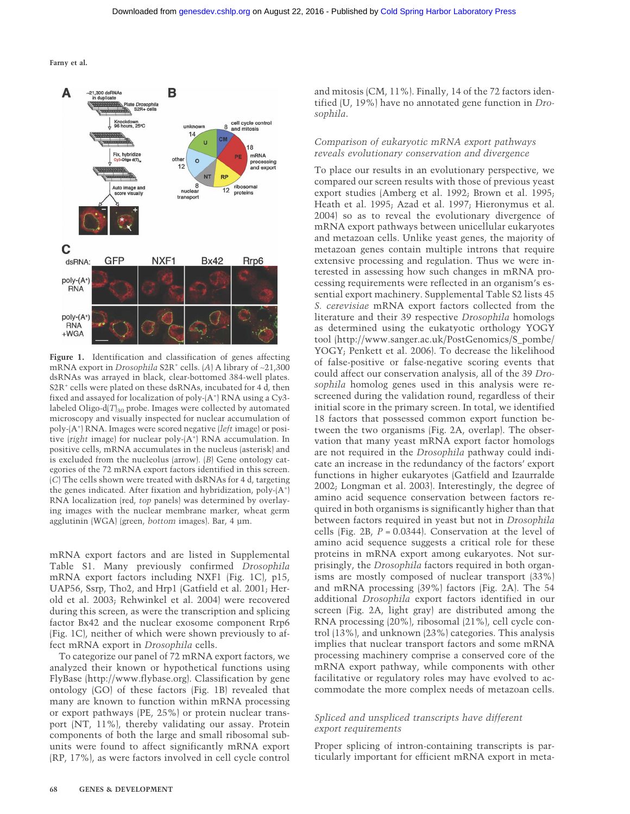

**Figure 1.** Identification and classification of genes affecting mRNA export in *Drosophila* S2R+ cells. (*A*) A library of ∼21,300 dsRNAs was arrayed in black, clear-bottomed 384-well plates. S2R<sup>+</sup> cells were plated on these dsRNAs, incubated for 4 d, then fixed and assayed for localization of poly-(A<sup>+</sup>) RNA using a Cy3labeled Oligo-d $(T)_{30}$  probe. Images were collected by automated microscopy and visually inspected for nuclear accumulation of poly-(A<sup>+</sup> ) RNA. Images were scored negative (*left* image) or positive (right image) for nuclear poly-(A<sup>+</sup>) RNA accumulation. In positive cells, mRNA accumulates in the nucleus (asterisk) and is excluded from the nucleolus (arrow). (*B*) Gene ontology categories of the 72 mRNA export factors identified in this screen. (*C*) The cells shown were treated with dsRNAs for 4 d, targeting the genes indicated. After fixation and hybridization, poly-(A<sup>+</sup> ) RNA localization (red, *top* panels) was determined by overlaying images with the nuclear membrane marker, wheat germ agglutinin (WGA) (green, *bottom* images). Bar, 4 µm.

mRNA export factors and are listed in Supplemental Table S1. Many previously confirmed *Drosophila* mRNA export factors including NXF1 (Fig. 1C), p15, UAP56, Ssrp, Tho2, and Hrp1 (Gatfield et al. 2001; Herold et al. 2003; Rehwinkel et al. 2004) were recovered during this screen, as were the transcription and splicing factor Bx42 and the nuclear exosome component Rrp6 (Fig. 1C), neither of which were shown previously to affect mRNA export in *Drosophila* cells.

To categorize our panel of 72 mRNA export factors, we analyzed their known or hypothetical functions using FlyBase (http://www.flybase.org). Classification by gene ontology (GO) of these factors (Fig. 1B) revealed that many are known to function within mRNA processing or export pathways (PE, 25%) or protein nuclear transport (NT, 11%), thereby validating our assay. Protein components of both the large and small ribosomal subunits were found to affect significantly mRNA export (RP, 17%), as were factors involved in cell cycle control

and mitosis (CM, 11%). Finally, 14 of the 72 factors identified (U, 19%) have no annotated gene function in *Drosophila*.

# *Comparison of eukaryotic mRNA export pathways reveals evolutionary conservation and divergence*

To place our results in an evolutionary perspective, we compared our screen results with those of previous yeast export studies (Amberg et al. 1992; Brown et al. 1995; Heath et al. 1995; Azad et al. 1997; Hieronymus et al. 2004) so as to reveal the evolutionary divergence of mRNA export pathways between unicellular eukaryotes and metazoan cells. Unlike yeast genes, the majority of metazoan genes contain multiple introns that require extensive processing and regulation. Thus we were interested in assessing how such changes in mRNA processing requirements were reflected in an organism's essential export machinery. Supplemental Table S2 lists 45 *S. cerevisiae* mRNA export factors collected from the literature and their 39 respective *Drosophila* homologs as determined using the eukatyotic orthology YOGY tool (http://www.sanger.ac.uk/PostGenomics/S\_pombe/ YOGY; Penkett et al. 2006). To decrease the likelihood of false-positive or false-negative scoring events that could affect our conservation analysis, all of the 39 *Drosophila* homolog genes used in this analysis were rescreened during the validation round, regardless of their initial score in the primary screen. In total, we identified 18 factors that possessed common export function between the two organisms (Fig. 2A, overlap). The observation that many yeast mRNA export factor homologs are not required in the *Drosophila* pathway could indicate an increase in the redundancy of the factors' export functions in higher eukaryotes (Gatfield and Izaurralde 2002; Longman et al. 2003). Interestingly, the degree of amino acid sequence conservation between factors required in both organisms is significantly higher than that between factors required in yeast but not in *Drosophila* cells (Fig. 2B, *P* = 0.0344). Conservation at the level of amino acid sequence suggests a critical role for these proteins in mRNA export among eukaryotes. Not surprisingly, the *Drosophila* factors required in both organisms are mostly composed of nuclear transport (33%) and mRNA processing (39%) factors (Fig. 2A). The 54 additional *Drosophila* export factors identified in our screen (Fig. 2A, light gray) are distributed among the RNA processing (20%), ribosomal (21%), cell cycle control (13%), and unknown (23%) categories. This analysis implies that nuclear transport factors and some mRNA processing machinery comprise a conserved core of the mRNA export pathway, while components with other facilitative or regulatory roles may have evolved to accommodate the more complex needs of metazoan cells.

# *Spliced and unspliced transcripts have different export requirements*

Proper splicing of intron-containing transcripts is particularly important for efficient mRNA export in meta-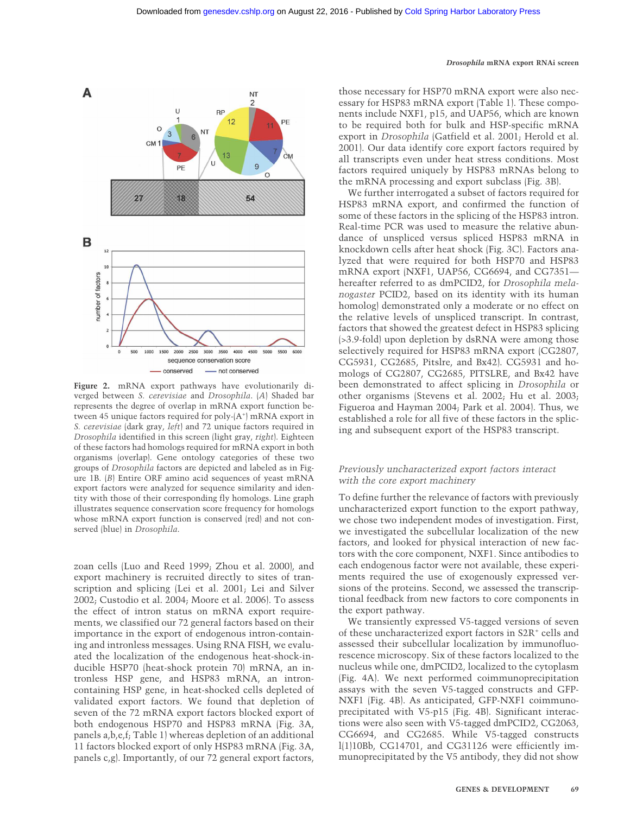

**Figure 2.** mRNA export pathways have evolutionarily diverged between *S. cerevisiae* and *Drosophila*. (*A*) Shaded bar represents the degree of overlap in mRNA export function between 45 unique factors required for poly-(A<sup>+</sup>) mRNA export in *S. cerevisiae* (dark gray, *left*) and 72 unique factors required in *Drosophila* identified in this screen (light gray, *right*). Eighteen of these factors had homologs required for mRNA export in both organisms (overlap). Gene ontology categories of these two groups of *Drosophila* factors are depicted and labeled as in Figure 1B. (*B*) Entire ORF amino acid sequences of yeast mRNA export factors were analyzed for sequence similarity and identity with those of their corresponding fly homologs. Line graph illustrates sequence conservation score frequency for homologs whose mRNA export function is conserved (red) and not conserved (blue) in *Drosophila*.

zoan cells (Luo and Reed 1999; Zhou et al. 2000), and export machinery is recruited directly to sites of transcription and splicing (Lei et al. 2001; Lei and Silver 2002; Custodio et al. 2004; Moore et al. 2006). To assess the effect of intron status on mRNA export requirements, we classified our 72 general factors based on their importance in the export of endogenous intron-containing and intronless messages. Using RNA FISH, we evaluated the localization of the endogenous heat-shock-inducible HSP70 (heat-shock protein 70) mRNA, an intronless HSP gene, and HSP83 mRNA, an introncontaining HSP gene, in heat-shocked cells depleted of validated export factors. We found that depletion of seven of the 72 mRNA export factors blocked export of both endogenous HSP70 and HSP83 mRNA (Fig. 3A, panels a,b,e,f; Table 1) whereas depletion of an additional 11 factors blocked export of only HSP83 mRNA (Fig. 3A, panels c,g). Importantly, of our 72 general export factors,

those necessary for HSP70 mRNA export were also necessary for HSP83 mRNA export (Table 1). These components include NXF1, p15, and UAP56, which are known to be required both for bulk and HSP-specific mRNA export in *Drosophila* (Gatfield et al. 2001; Herold et al. 2001). Our data identify core export factors required by all transcripts even under heat stress conditions. Most factors required uniquely by HSP83 mRNAs belong to the mRNA processing and export subclass (Fig. 3B).

We further interrogated a subset of factors required for HSP83 mRNA export, and confirmed the function of some of these factors in the splicing of the HSP83 intron. Real-time PCR was used to measure the relative abundance of unspliced versus spliced HSP83 mRNA in knockdown cells after heat shock (Fig. 3C). Factors analyzed that were required for both HSP70 and HSP83 mRNA export (NXF1, UAP56, CG6694, and CG7351 hereafter referred to as dmPCID2, for *Drosophila melanogaster* PCID2, based on its identity with its human homolog) demonstrated only a moderate or no effect on the relative levels of unspliced transcript. In contrast, factors that showed the greatest defect in HSP83 splicing (>3.9-fold) upon depletion by dsRNA were among those selectively required for HSP83 mRNA export (CG2807, CG5931, CG2685, Pitslre, and Bx42). CG5931 and homologs of CG2807, CG2685, PITSLRE, and Bx42 have been demonstrated to affect splicing in *Drosophila* or other organisms (Stevens et al. 2002; Hu et al. 2003; Figueroa and Hayman 2004; Park et al. 2004). Thus, we established a role for all five of these factors in the splicing and subsequent export of the HSP83 transcript.

# *Previously uncharacterized export factors interact with the core export machinery*

To define further the relevance of factors with previously uncharacterized export function to the export pathway, we chose two independent modes of investigation. First, we investigated the subcellular localization of the new factors, and looked for physical interaction of new factors with the core component, NXF1. Since antibodies to each endogenous factor were not available, these experiments required the use of exogenously expressed versions of the proteins. Second, we assessed the transcriptional feedback from new factors to core components in the export pathway.

We transiently expressed V5-tagged versions of seven of these uncharacterized export factors in S2R+ cells and assessed their subcellular localization by immunofluorescence microscopy. Six of these factors localized to the nucleus while one, dmPCID2, localized to the cytoplasm (Fig. 4A). We next performed coimmunoprecipitation assays with the seven V5-tagged constructs and GFP-NXF1 (Fig. 4B). As anticipated, GFP-NXF1 coimmunoprecipitated with V5-p15 (Fig. 4B). Significant interactions were also seen with V5-tagged dmPCID2, CG2063, CG6694, and CG2685. While V5-tagged constructs l(1)10Bb, CG14701, and CG31126 were efficiently immunoprecipitated by the V5 antibody, they did not show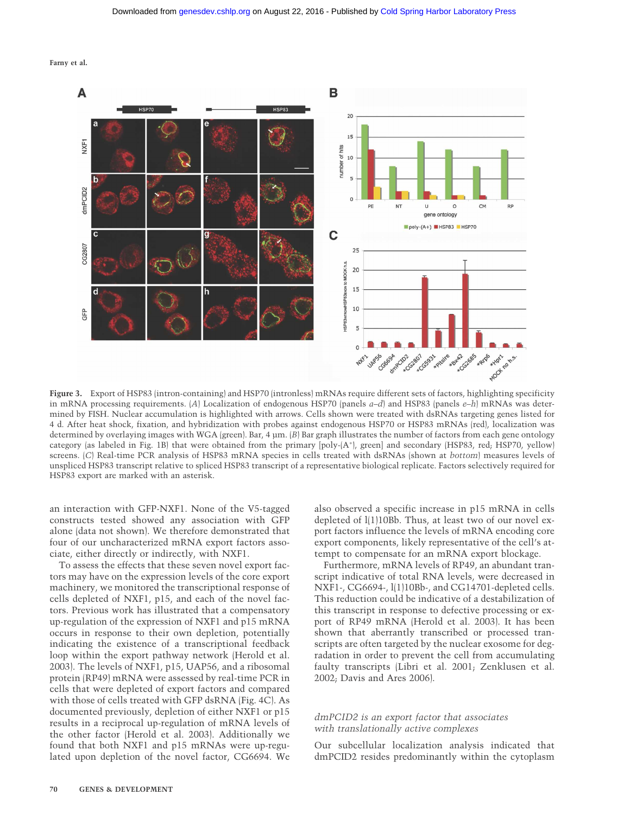



**Figure 3.** Export of HSP83 (intron-containing) and HSP70 (intronless) mRNAs require different sets of factors, highlighting specificity in mRNA processing requirements. (*A*) Localization of endogenous HSP70 (panels *a–d*) and HSP83 (panels *e–h*) mRNAs was determined by FISH. Nuclear accumulation is highlighted with arrows. Cells shown were treated with dsRNAs targeting genes listed for 4 d. After heat shock, fixation, and hybridization with probes against endogenous HSP70 or HSP83 mRNAs (red), localization was determined by overlaying images with WGA (green). Bar, 4 µm. (*B*) Bar graph illustrates the number of factors from each gene ontology category (as labeled in Fig. 1B) that were obtained from the primary [poly-(A+ ), green] and secondary (HSP83, red; HSP70, yellow) screens. (*C*) Real-time PCR analysis of HSP83 mRNA species in cells treated with dsRNAs (shown at *bottom*) measures levels of unspliced HSP83 transcript relative to spliced HSP83 transcript of a representative biological replicate. Factors selectively required for HSP83 export are marked with an asterisk.

an interaction with GFP-NXF1. None of the V5-tagged constructs tested showed any association with GFP alone (data not shown). We therefore demonstrated that four of our uncharacterized mRNA export factors associate, either directly or indirectly, with NXF1.

To assess the effects that these seven novel export factors may have on the expression levels of the core export machinery, we monitored the transcriptional response of cells depleted of NXF1, p15, and each of the novel factors. Previous work has illustrated that a compensatory up-regulation of the expression of NXF1 and p15 mRNA occurs in response to their own depletion, potentially indicating the existence of a transcriptional feedback loop within the export pathway network (Herold et al. 2003). The levels of NXF1, p15, UAP56, and a ribosomal protein (RP49) mRNA were assessed by real-time PCR in cells that were depleted of export factors and compared with those of cells treated with GFP dsRNA (Fig. 4C). As documented previously, depletion of either NXF1 or p15 results in a reciprocal up-regulation of mRNA levels of the other factor (Herold et al. 2003). Additionally we found that both NXF1 and p15 mRNAs were up-regulated upon depletion of the novel factor, CG6694. We

also observed a specific increase in p15 mRNA in cells depleted of l(1)10Bb. Thus, at least two of our novel export factors influence the levels of mRNA encoding core export components, likely representative of the cell's attempt to compensate for an mRNA export blockage.

Furthermore, mRNA levels of RP49, an abundant transcript indicative of total RNA levels, were decreased in NXF1-, CG6694-, l(1)10Bb-, and CG14701-depleted cells. This reduction could be indicative of a destabilization of this transcript in response to defective processing or export of RP49 mRNA (Herold et al. 2003). It has been shown that aberrantly transcribed or processed transcripts are often targeted by the nuclear exosome for degradation in order to prevent the cell from accumulating faulty transcripts (Libri et al. 2001; Zenklusen et al. 2002; Davis and Ares 2006).

# *dmPCID2 is an export factor that associates with translationally active complexes*

Our subcellular localization analysis indicated that dmPCID2 resides predominantly within the cytoplasm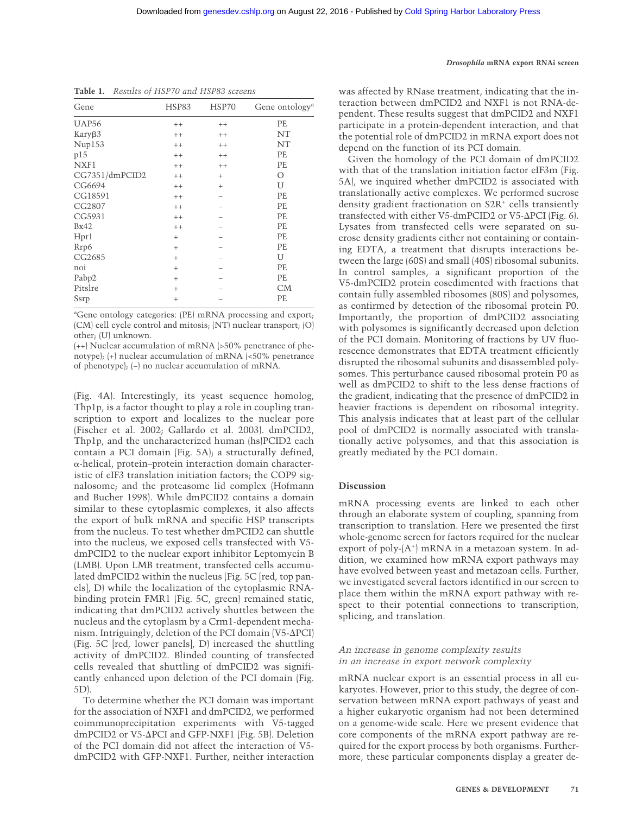| Gene           | HSP83              | HSP70     | Gene ontology <sup>a</sup> |
|----------------|--------------------|-----------|----------------------------|
| <b>UAP56</b>   | $^{++}$            | $++$      | PE                         |
| KaryB3         | $^{++}$            | $^{++}$   | NT                         |
| Nup153         | $^{++}$            | $^{++}$   | NT                         |
| p15            | $^{++}$            | $^{++}$   | PE                         |
| NXF1           | $^{++}$            | $^{++}$   | PE                         |
| CG7351/dmPCID2 | $^{++}$            | $^{+}$    | $\circ$                    |
| CG6694         | $^{++}$            | $\ddot{}$ | U                          |
| CG18591        | $^{++}$            |           | PE                         |
| CG2807         | $^{++}$            |           | PE                         |
| CG5931         | $^{++}$            |           | PE                         |
| Bx42           | $^{++}$            |           | PE                         |
| Hpr1           | $^{+}$             |           | PE                         |
| Rrp6           | $^{+}$             |           | PE                         |
| CG2685         | $^{+}$             |           | U                          |
| noi            | $^{+}$             |           | PE                         |
| Pabp2          | $^{+}$             |           | PE                         |
| Pitslre        | $^{+}$             |           | CM                         |
| Ssrp           | $\hskip 0.025cm +$ |           | PE                         |

**Table 1.** *Results of HSP70 and HSP83 screens*

a Gene ontology categories: (PE) mRNA processing and export; (CM) cell cycle control and mitosis; (NT) nuclear transport; (O) other; (U) unknown.

(++) Nuclear accumulation of mRNA (>50% penetrance of phenotype); (+) nuclear accumulation of mRNA (<50% penetrance of phenotype); (−) no nuclear accumulation of mRNA.

(Fig. 4A). Interestingly, its yeast sequence homolog, Thp1p, is a factor thought to play a role in coupling transcription to export and localizes to the nuclear pore (Fischer et al. 2002; Gallardo et al. 2003). dmPCID2, Thp1p, and the uncharacterized human (hs)PCID2 each contain a PCI domain (Fig. 5A); a structurally defined,  $\alpha$ -helical, protein–protein interaction domain characteristic of eIF3 translation initiation factors; the COP9 signalosome; and the proteasome lid complex (Hofmann and Bucher 1998). While dmPCID2 contains a domain similar to these cytoplasmic complexes, it also affects the export of bulk mRNA and specific HSP transcripts from the nucleus. To test whether dmPCID2 can shuttle into the nucleus, we exposed cells transfected with V5 dmPCID2 to the nuclear export inhibitor Leptomycin B (LMB). Upon LMB treatment, transfected cells accumulated dmPCID2 within the nucleus (Fig. 5C [red, top panels], D) while the localization of the cytoplasmic RNAbinding protein FMR1 (Fig. 5C, green) remained static, indicating that dmPCID2 actively shuttles between the nucleus and the cytoplasm by a Crm1-dependent mechanism. Intriguingly, deletion of the PCI domain (V5-∆PCI) (Fig. 5C [red, lower panels], D) increased the shuttling activity of dmPCID2. Blinded counting of transfected cells revealed that shuttling of dmPCID2 was significantly enhanced upon deletion of the PCI domain (Fig. 5D).

To determine whether the PCI domain was important for the association of NXF1 and dmPCID2, we performed coimmunoprecipitation experiments with V5-tagged dmPCID2 or V5-ΔPCI and GFP-NXF1 (Fig. 5B). Deletion of the PCI domain did not affect the interaction of V5 dmPCID2 with GFP-NXF1. Further, neither interaction

#### *Drosophila* **mRNA export RNAi screen**

was affected by RNase treatment, indicating that the interaction between dmPCID2 and NXF1 is not RNA-dependent. These results suggest that dmPCID2 and NXF1 participate in a protein-dependent interaction, and that the potential role of dmPCID2 in mRNA export does not depend on the function of its PCI domain.

Given the homology of the PCI domain of dmPCID2 with that of the translation initiation factor eIF3m (Fig. 5A), we inquired whether dmPCID2 is associated with translationally active complexes. We performed sucrose density gradient fractionation on S2R<sup>+</sup> cells transiently transfected with either V5-dmPCID2 or V5-∆PCI (Fig. 6). Lysates from transfected cells were separated on sucrose density gradients either not containing or containing EDTA, a treatment that disrupts interactions between the large (60S) and small (40S) ribosomal subunits. In control samples, a significant proportion of the V5-dmPCID2 protein cosedimented with fractions that contain fully assembled ribosomes (80S) and polysomes, as confirmed by detection of the ribosomal protein P0. Importantly, the proportion of dmPCID2 associating with polysomes is significantly decreased upon deletion of the PCI domain. Monitoring of fractions by UV fluorescence demonstrates that EDTA treatment efficiently disrupted the ribosomal subunits and disassembled polysomes. This perturbance caused ribosomal protein P0 as well as dmPCID2 to shift to the less dense fractions of the gradient, indicating that the presence of dmPCID2 in heavier fractions is dependent on ribosomal integrity. This analysis indicates that at least part of the cellular pool of dmPCID2 is normally associated with translationally active polysomes, and that this association is greatly mediated by the PCI domain.

#### **Discussion**

mRNA processing events are linked to each other through an elaborate system of coupling, spanning from transcription to translation. Here we presented the first whole-genome screen for factors required for the nuclear export of poly-(A<sup>+</sup>) mRNA in a metazoan system. In addition, we examined how mRNA export pathways may have evolved between yeast and metazoan cells. Further, we investigated several factors identified in our screen to place them within the mRNA export pathway with respect to their potential connections to transcription, splicing, and translation.

## *An increase in genome complexity results in an increase in export network complexity*

mRNA nuclear export is an essential process in all eukaryotes. However, prior to this study, the degree of conservation between mRNA export pathways of yeast and a higher eukaryotic organism had not been determined on a genome-wide scale. Here we present evidence that core components of the mRNA export pathway are required for the export process by both organisms. Furthermore, these particular components display a greater de-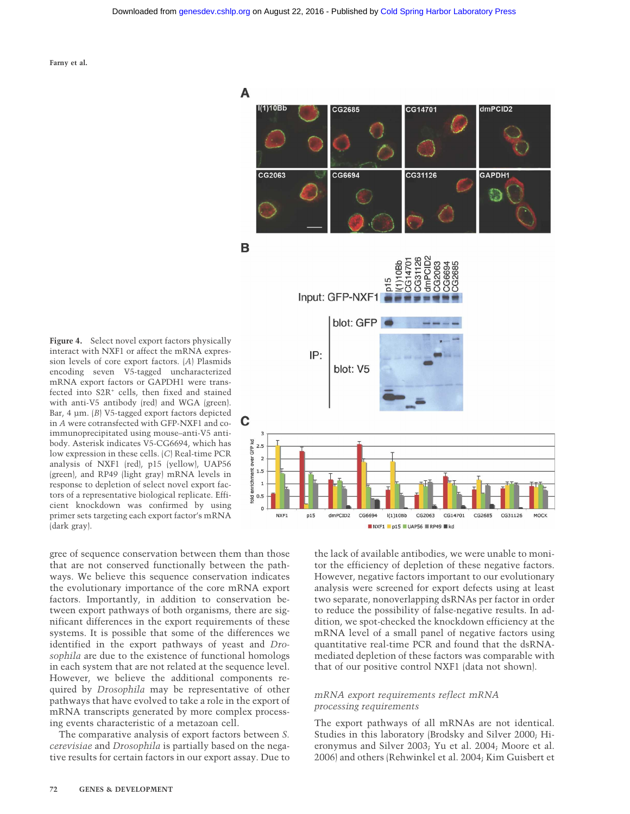

**Figure 4.** Select novel export factors physically interact with NXF1 or affect the mRNA expression levels of core export factors. (*A*) Plasmids encoding seven V5-tagged uncharacterized mRNA export factors or GAPDH1 were transfected into S2R<sup>+</sup> cells, then fixed and stained with anti-V5 antibody (red) and WGA (green). Bar, 4 µm. (*B*) V5-tagged export factors depicted in *A* were cotransfected with GFP-NXF1 and coimmunoprecipitated using mouse–anti-V5 antibody. Asterisk indicates V5-CG6694, which has low expression in these cells. (*C*) Real-time PCR analysis of NXF1 (red), p15 (yellow), UAP56 (green), and RP49 (light gray) mRNA levels in response to depletion of select novel export factors of a representative biological replicate. Efficient knockdown was confirmed by using primer sets targeting each export factor's mRNA (dark gray).

gree of sequence conservation between them than those that are not conserved functionally between the pathways. We believe this sequence conservation indicates the evolutionary importance of the core mRNA export factors. Importantly, in addition to conservation between export pathways of both organisms, there are significant differences in the export requirements of these systems. It is possible that some of the differences we identified in the export pathways of yeast and *Drosophila* are due to the existence of functional homologs in each system that are not related at the sequence level. However, we believe the additional components required by *Drosophila* may be representative of other pathways that have evolved to take a role in the export of mRNA transcripts generated by more complex processing events characteristic of a metazoan cell.

The comparative analysis of export factors between *S. cerevisiae* and *Drosophila* is partially based on the negative results for certain factors in our export assay. Due to

the lack of available antibodies, we were unable to monitor the efficiency of depletion of these negative factors. However, negative factors important to our evolutionary analysis were screened for export defects using at least two separate, nonoverlapping dsRNAs per factor in order to reduce the possibility of false-negative results. In addition, we spot-checked the knockdown efficiency at the mRNA level of a small panel of negative factors using quantitative real-time PCR and found that the dsRNAmediated depletion of these factors was comparable with that of our positive control NXF1 (data not shown).

# *mRNA export requirements reflect mRNA processing requirements*

The export pathways of all mRNAs are not identical. Studies in this laboratory (Brodsky and Silver 2000; Hieronymus and Silver 2003; Yu et al. 2004; Moore et al. 2006) and others (Rehwinkel et al. 2004; Kim Guisbert et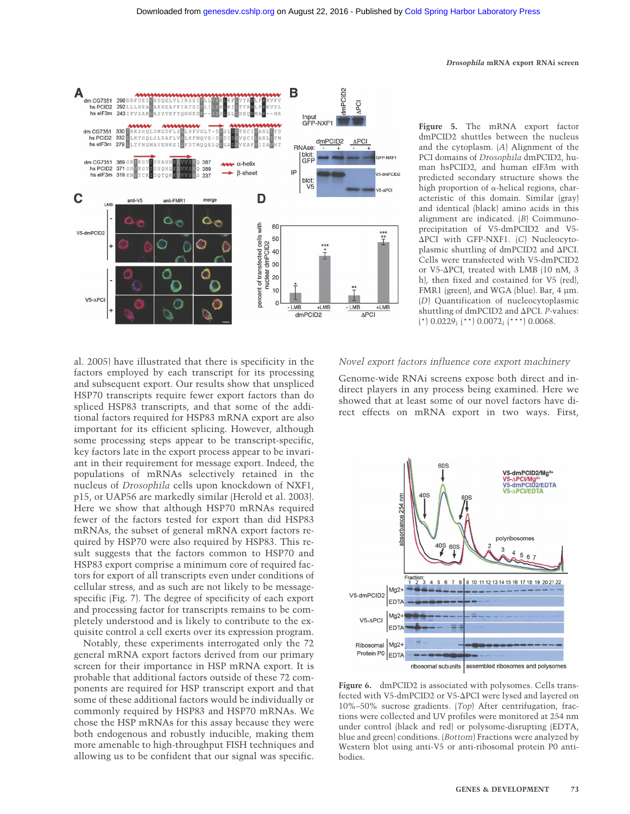

**Figure 5.** The mRNA export factor dmPCID2 shuttles between the nucleus and the cytoplasm. (*A*) Alignment of the PCI domains of *Drosophila* dmPCID2, human hsPCID2, and human eIF3m with predicted secondary structure shows the high proportion of  $\alpha$ -helical regions, characteristic of this domain. Similar (gray) and identical (black) amino acids in this alignment are indicated. (*B*) Coimmunoprecipitation of V5-dmPCID2 and V5- -PCI with GFP-NXF1. (*C*) Nucleocytoplasmic shuttling of dmPCID2 and  $\Delta$ PCI. Cells were transfected with V5-dmPCID2 or V5- $\Delta$ PCI, treated with LMB (10 nM, 3 h), then fixed and costained for V5 (red), FMR1 (green), and WGA (blue). Bar, 4 µm. (*D*) Quantification of nucleocytoplasmic shuttling of dmPCID2 and ΔPCI. *P*-values: (\*)  $0.0229$ ; (\*\*)  $0.0072$ ; (\*\*\*)  $0.0068$ .

al. 2005) have illustrated that there is specificity in the factors employed by each transcript for its processing and subsequent export. Our results show that unspliced HSP70 transcripts require fewer export factors than do spliced HSP83 transcripts, and that some of the additional factors required for HSP83 mRNA export are also important for its efficient splicing. However, although some processing steps appear to be transcript-specific, key factors late in the export process appear to be invariant in their requirement for message export. Indeed, the populations of mRNAs selectively retained in the nucleus of *Drosophila* cells upon knockdown of NXF1, p15, or UAP56 are markedly similar (Herold et al. 2003). Here we show that although HSP70 mRNAs required fewer of the factors tested for export than did HSP83 mRNAs, the subset of general mRNA export factors required by HSP70 were also required by HSP83. This result suggests that the factors common to HSP70 and HSP83 export comprise a minimum core of required factors for export of all transcripts even under conditions of cellular stress, and as such are not likely to be messagespecific (Fig. 7). The degree of specificity of each export and processing factor for transcripts remains to be completely understood and is likely to contribute to the exquisite control a cell exerts over its expression program.

Notably, these experiments interrogated only the 72 general mRNA export factors derived from our primary screen for their importance in HSP mRNA export. It is probable that additional factors outside of these 72 components are required for HSP transcript export and that some of these additional factors would be individually or commonly required by HSP83 and HSP70 mRNAs. We chose the HSP mRNAs for this assay because they were both endogenous and robustly inducible, making them more amenable to high-throughput FISH techniques and allowing us to be confident that our signal was specific.

#### *Novel export factors influence core export machinery*

Genome-wide RNAi screens expose both direct and indirect players in any process being examined. Here we showed that at least some of our novel factors have direct effects on mRNA export in two ways. First,



Figure 6. dmPCID2 is associated with polysomes. Cells transfected with V5-dmPCID2 or V5-ΔPCI were lysed and layered on 10%–50% sucrose gradients. (*Top*) After centrifugation, fractions were collected and UV profiles were monitored at 254 nm under control (black and red) or polysome-disrupting (EDTA, blue and green) conditions. (*Bottom*) Fractions were analyzed by Western blot using anti-V5 or anti-ribosomal protein P0 antibodies.

#### *Drosophila* **mRNA export RNAi screen**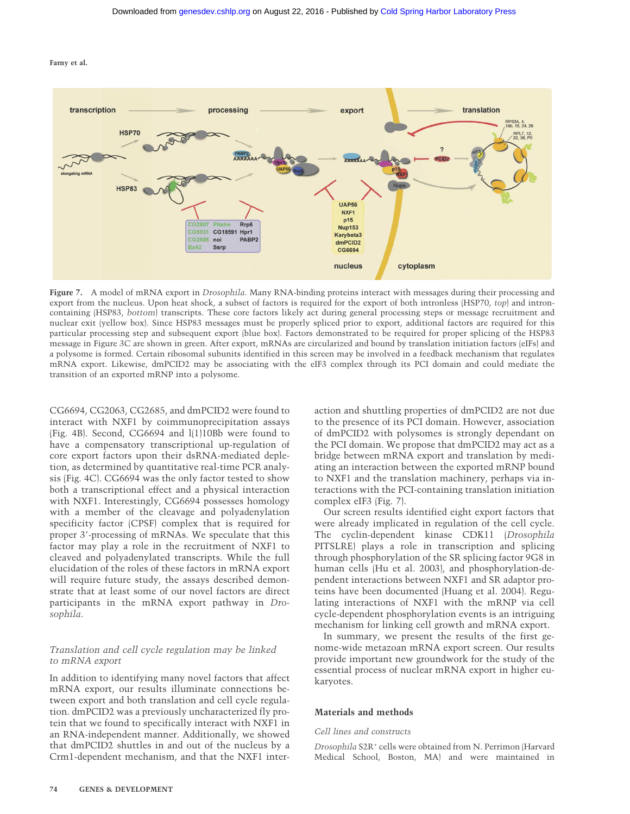

**Figure 7.** A model of mRNA export in *Drosophila*. Many RNA-binding proteins interact with messages during their processing and export from the nucleus. Upon heat shock, a subset of factors is required for the export of both intronless (HSP70, *top*) and introncontaining (HSP83, *bottom*) transcripts. These core factors likely act during general processing steps or message recruitment and nuclear exit (yellow box). Since HSP83 messages must be properly spliced prior to export, additional factors are required for this particular processing step and subsequent export (blue box). Factors demonstrated to be required for proper splicing of the HSP83 message in Figure 3C are shown in green. After export, mRNAs are circularized and bound by translation initiation factors (eIFs) and a polysome is formed. Certain ribosomal subunits identified in this screen may be involved in a feedback mechanism that regulates mRNA export. Likewise, dmPCID2 may be associating with the eIF3 complex through its PCI domain and could mediate the transition of an exported mRNP into a polysome.

CG6694, CG2063, CG2685, and dmPCID2 were found to interact with NXF1 by coimmunoprecipitation assays (Fig. 4B). Second, CG6694 and l(1)10Bb were found to have a compensatory transcriptional up-regulation of core export factors upon their dsRNA-mediated depletion, as determined by quantitative real-time PCR analysis (Fig. 4C). CG6694 was the only factor tested to show both a transcriptional effect and a physical interaction with NXF1. Interestingly, CG6694 possesses homology with a member of the cleavage and polyadenylation specificity factor (CPSF) complex that is required for proper 3'-processing of mRNAs. We speculate that this factor may play a role in the recruitment of NXF1 to cleaved and polyadenylated transcripts. While the full elucidation of the roles of these factors in mRNA export will require future study, the assays described demonstrate that at least some of our novel factors are direct participants in the mRNA export pathway in *Drosophila*.

# *Translation and cell cycle regulation may be linked to mRNA export*

In addition to identifying many novel factors that affect mRNA export, our results illuminate connections between export and both translation and cell cycle regulation. dmPCID2 was a previously uncharacterized fly protein that we found to specifically interact with NXF1 in an RNA-independent manner. Additionally, we showed that dmPCID2 shuttles in and out of the nucleus by a Crm1-dependent mechanism, and that the NXF1 inter-

action and shuttling properties of dmPCID2 are not due to the presence of its PCI domain. However, association of dmPCID2 with polysomes is strongly dependant on the PCI domain. We propose that dmPCID2 may act as a bridge between mRNA export and translation by mediating an interaction between the exported mRNP bound to NXF1 and the translation machinery, perhaps via interactions with the PCI-containing translation initiation complex eIF3 (Fig. 7).

Our screen results identified eight export factors that were already implicated in regulation of the cell cycle. The cyclin-dependent kinase CDK11 (*Drosophila* PITSLRE) plays a role in transcription and splicing through phosphorylation of the SR splicing factor 9G8 in human cells (Hu et al. 2003), and phosphorylation-dependent interactions between NXF1 and SR adaptor proteins have been documented (Huang et al. 2004). Regulating interactions of NXF1 with the mRNP via cell cycle-dependent phosphorylation events is an intriguing mechanism for linking cell growth and mRNA export.

In summary, we present the results of the first genome-wide metazoan mRNA export screen. Our results provide important new groundwork for the study of the essential process of nuclear mRNA export in higher eukaryotes.

#### **Materials and methods**

#### *Cell lines and constructs*

*Drosophila* S2R+ cells were obtained from N. Perrimon (Harvard Medical School, Boston, MA) and were maintained in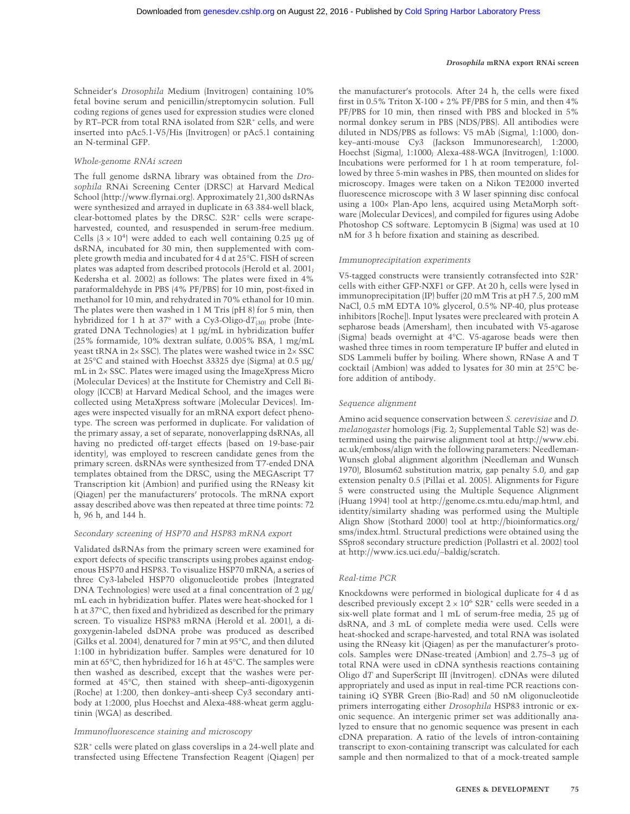Schneider's *Drosophila* Medium (Invitrogen) containing 10% fetal bovine serum and penicillin/streptomycin solution. Full coding regions of genes used for expression studies were cloned by RT–PCR from total RNA isolated from S2R<sup>+</sup> cells, and were inserted into pAc5.1-V5/His (Invitrogen) or pAc5.1 containing an N-terminal GFP.

#### *Whole-genome RNAi screen*

The full genome dsRNA library was obtained from the *Drosophila* RNAi Screening Center (DRSC) at Harvard Medical School (http://www.flyrnai.org). Approximately 21,300 dsRNAs were synthesized and arrayed in duplicate in 63 384-well black, clear-bottomed plates by the DRSC. S2R<sup>+</sup> cells were scrapeharvested, counted, and resuspended in serum-free medium. Cells  $(3 \times 10^4)$  were added to each well containing 0.25 µg of dsRNA, incubated for 30 min, then supplemented with complete growth media and incubated for 4 d at 25°C. FISH of screen plates was adapted from described protocols (Herold et al. 2001; Kedersha et al. 2002) as follows: The plates were fixed in 4% paraformaldehyde in PBS (4% PF/PBS) for 10 min, post-fixed in methanol for 10 min, and rehydrated in 70% ethanol for 10 min. The plates were then washed in 1 M Tris (pH 8) for 5 min, then hybridized for 1 h at 37° with a Cy3-Oligo-d $T_{(30)}$  probe (Integrated DNA Technologies) at 1 µg/mL in hybridization buffer (25% formamide, 10% dextran sulfate, 0.005% BSA, 1 mg/mL yeast tRNA in 2× SSC). The plates were washed twice in 2× SSC at 25°C and stained with Hoechst 33325 dye (Sigma) at 0.5 µg/ mL in 2× SSC. Plates were imaged using the ImageXpress Micro (Molecular Devices) at the Institute for Chemistry and Cell Biology (ICCB) at Harvard Medical School, and the images were collected using MetaXpress software (Molecular Devices). Images were inspected visually for an mRNA export defect phenotype. The screen was performed in duplicate. For validation of the primary assay, a set of separate, nonoverlapping dsRNAs, all having no predicted off-target effects (based on 19-base-pair identity), was employed to rescreen candidate genes from the primary screen. dsRNAs were synthesized from T7-ended DNA templates obtained from the DRSC, using the MEGAscript T7 Transcription kit (Ambion) and purified using the RNeasy kit (Qiagen) per the manufacturers' protocols. The mRNA export assay described above was then repeated at three time points: 72 h, 96 h, and 144 h.

#### *Secondary screening of HSP70 and HSP83 mRNA export*

Validated dsRNAs from the primary screen were examined for export defects of specific transcripts using probes against endogenous HSP70 and HSP83. To visualize HSP70 mRNA, a series of three Cy3-labeled HSP70 oligonucleotide probes (Integrated DNA Technologies) were used at a final concentration of 2 µg/ mL each in hybridization buffer. Plates were heat-shocked for 1 h at 37°C, then fixed and hybridized as described for the primary screen. To visualize HSP83 mRNA (Herold et al. 2001), a digoxygenin-labeled dsDNA probe was produced as described (Gilks et al. 2004), denatured for 7 min at 95°C, and then diluted 1:100 in hybridization buffer. Samples were denatured for 10 min at 65°C, then hybridized for 16 h at 45°C. The samples were then washed as described, except that the washes were performed at 45°C, then stained with sheep–anti-digoxygenin (Roche) at 1:200, then donkey–anti-sheep Cy3 secondary antibody at 1:2000, plus Hoechst and Alexa-488-wheat germ agglutinin (WGA) as described.

#### *Immunofluorescence staining and microscopy*

S2R<sup>+</sup> cells were plated on glass coverslips in a 24-well plate and transfected using Effectene Transfection Reagent (Qiagen) per the manufacturer's protocols. After 24 h, the cells were fixed first in  $0.5\%$  Triton X-100 + 2% PF/PBS for 5 min, and then 4% PF/PBS for 10 min, then rinsed with PBS and blocked in 5% normal donkey serum in PBS (NDS/PBS). All antibodies were diluted in NDS/PBS as follows: V5 mAb (Sigma), 1:1000; donkey–anti-mouse Cy3 (Jackson Immunoresearch), 1:2000; Hoechst (Sigma), 1:1000; Alexa-488-WGA (Invitrogen), 1:1000. Incubations were performed for 1 h at room temperature, followed by three 5-min washes in PBS, then mounted on slides for microscopy. Images were taken on a Nikon TE2000 inverted fluorescence microscope with 3 W laser spinning disc confocal using a 100× Plan-Apo lens, acquired using MetaMorph software (Molecular Devices), and compiled for figures using Adobe Photoshop CS software. Leptomycin B (Sigma) was used at 10 nM for 3 h before fixation and staining as described.

#### *Immunoprecipitation experiments*

V5-tagged constructs were transiently cotransfected into S2R<sup>+</sup> cells with either GFP-NXF1 or GFP. At 20 h, cells were lysed in immunoprecipitation (IP) buffer (20 mM Tris at pH 7.5, 200 mM NaCl, 0.5 mM EDTA 10% glycerol, 0.5% NP-40, plus protease inhibitors [Roche]). Input lysates were precleared with protein A sepharose beads (Amersham), then incubated with V5-agarose (Sigma) beads overnight at 4°C. V5-agarose beads were then washed three times in room temperature IP buffer and eluted in SDS Lammeli buffer by boiling. Where shown, RNase A and T cocktail (Ambion) was added to lysates for 30 min at 25°C before addition of antibody.

#### *Sequence alignment*

Amino acid sequence conservation between *S. cerevisiae* and *D. melanogaster* homologs (Fig. 2; Supplemental Table S2) was determined using the pairwise alignment tool at http://www.ebi. ac.uk/emboss/align with the following parameters: Needleman-Wunsch global alignment algorithm (Needleman and Wunsch 1970), Blosum62 substitution matrix, gap penalty 5.0, and gap extension penalty 0.5 (Pillai et al. 2005). Alignments for Figure 5 were constructed using the Multiple Sequence Alignment (Huang 1994) tool at http://genome.cs.mtu.edu/map.html, and identity/similarty shading was performed using the Multiple Align Show (Stothard 2000) tool at http://bioinformatics.org/ sms/index.html. Structural predictions were obtained using the SSpro8 secondary structure prediction (Pollastri et al. 2002) tool at http://www.ics.uci.edu/∼baldig/scratch.

#### *Real-time PCR*

Knockdowns were performed in biological duplicate for 4 d as described previously except  $2 \times 10^6$  S2R<sup>+</sup> cells were seeded in a six-well plate format and 1 mL of serum-free media, 25 µg of dsRNA, and 3 mL of complete media were used. Cells were heat-shocked and scrape-harvested, and total RNA was isolated using the RNeasy kit (Qiagen) as per the manufacturer's protocols. Samples were DNase-treated (Ambion) and 2.75–3 µg of total RNA were used in cDNA synthesis reactions containing Oligo d*T* and SuperScript III (Invitrogen). cDNAs were diluted appropriately and used as input in real-time PCR reactions containing iQ SYBR Green (Bio-Rad) and 50 nM oligonucleotide primers interrogating either *Drosophila* HSP83 intronic or exonic sequence. An intergenic primer set was additionally analyzed to ensure that no genomic sequence was present in each cDNA preparation. A ratio of the levels of intron-containing transcript to exon-containing transcript was calculated for each sample and then normalized to that of a mock-treated sample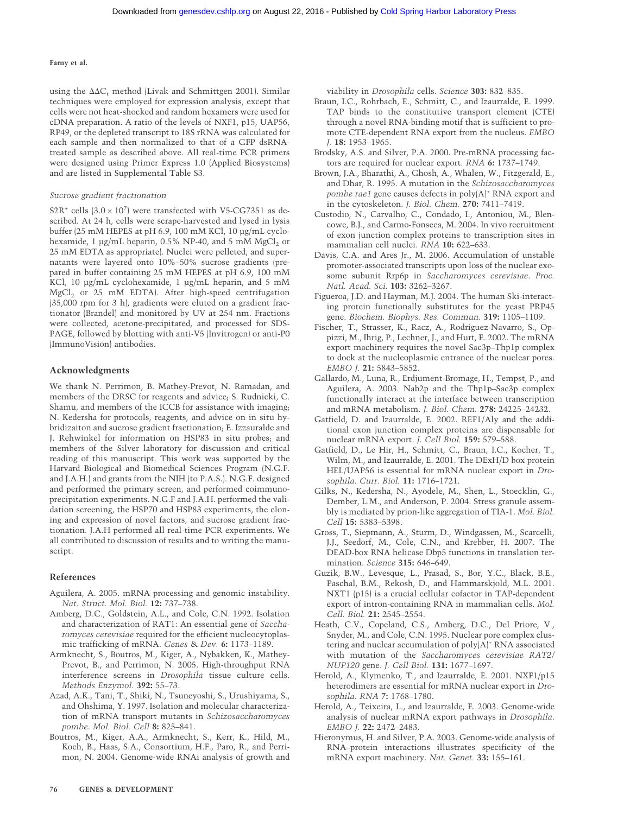using the  $\Delta \Delta C_t$  method (Livak and Schmittgen 2001). Similar techniques were employed for expression analysis, except that cells were not heat-shocked and random hexamers were used for cDNA preparation. A ratio of the levels of NXF1, p15, UAP56, RP49, or the depleted transcript to 18S rRNA was calculated for each sample and then normalized to that of a GFP dsRNAtreated sample as described above. All real-time PCR primers were designed using Primer Express 1.0 (Applied Biosystems) and are listed in Supplemental Table S3.

#### *Sucrose gradient fractionation*

S2R<sup>+</sup> cells  $(3.0 \times 10^7)$  were transfected with V5-CG7351 as described. At 24 h, cells were scrape-harvested and lysed in lysis buffer (25 mM HEPES at pH 6.9, 100 mM KCl, 10 µg/mL cyclohexamide, 1  $\mu$ g/mL heparin, 0.5% NP-40, and 5 mM MgCl<sub>2</sub> or 25 mM EDTA as appropriate). Nuclei were pelleted, and supernatants were layered onto 10%–50% sucrose gradients (prepared in buffer containing 25 mM HEPES at pH 6.9, 100 mM KCl, 10 µg/mL cyclohexamide, 1 µg/mL heparin, and 5 mM MgCl<sub>2</sub> or 25 mM EDTA). After high-speed centrifugation (35,000 rpm for 3 h), gradients were eluted on a gradient fractionator (Brandel) and monitored by UV at 254 nm. Fractions were collected, acetone-precipitated, and processed for SDS-PAGE, followed by blotting with anti-V5 (Invitrogen) or anti-P0 (ImmunoVision) antibodies.

#### **Acknowledgments**

We thank N. Perrimon, B. Mathey-Prevot, N. Ramadan, and members of the DRSC for reagents and advice; S. Rudnicki, C. Shamu, and members of the ICCB for assistance with imaging; N. Kedersha for protocols, reagents, and advice on in situ hybridizaiton and sucrose gradient fractionation; E. Izzauralde and J. Rehwinkel for information on HSP83 in situ probes; and members of the Silver laboratory for discussion and critical reading of this manuscript. This work was supported by the Harvard Biological and Biomedical Sciences Program (N.G.F. and J.A.H.) and grants from the NIH (to P.A.S.). N.G.F. designed and performed the primary screen, and performed coimmunoprecipitation experiments. N.G.F and J.A.H. performed the validation screening, the HSP70 and HSP83 experiments, the cloning and expression of novel factors, and sucrose gradient fractionation. J.A.H performed all real-time PCR experiments. We all contributed to discussion of results and to writing the manuscript.

#### **References**

- Aguilera, A. 2005. mRNA processing and genomic instability. *Nat. Struct. Mol. Biol.* **12:** 737–738.
- Amberg, D.C., Goldstein, A.L., and Cole, C.N. 1992. Isolation and characterization of RAT1: An essential gene of *Saccharomyces cerevisiae* required for the efficient nucleocytoplasmic trafficking of mRNA. *Genes* & *Dev.* **6:** 1173–1189.
- Armknecht, S., Boutros, M., Kiger, A., Nybakken, K., Mathey-Prevot, B., and Perrimon, N. 2005. High-throughput RNA interference screens in *Drosophila* tissue culture cells. *Methods Enzymol.* **392:** 55–73.
- Azad, A.K., Tani, T., Shiki, N., Tsuneyoshi, S., Urushiyama, S., and Ohshima, Y. 1997. Isolation and molecular characterization of mRNA transport mutants in *Schizosaccharomyces pombe*. *Mol. Biol. Cell* **8:** 825–841.
- Boutros, M., Kiger, A.A., Armknecht, S., Kerr, K., Hild, M., Koch, B., Haas, S.A., Consortium, H.F., Paro, R., and Perrimon, N. 2004. Genome-wide RNAi analysis of growth and

viability in *Drosophila* cells. *Science* **303:** 832–835.

- Braun, I.C., Rohrbach, E., Schmitt, C., and Izaurralde, E. 1999. TAP binds to the constitutive transport element (CTE) through a novel RNA-binding motif that is sufficient to promote CTE-dependent RNA export from the nucleus. *EMBO J.* **18:** 1953–1965.
- Brodsky, A.S. and Silver, P.A. 2000. Pre-mRNA processing factors are required for nuclear export. *RNA* **6:** 1737–1749.
- Brown, J.A., Bharathi, A., Ghosh, A., Whalen, W., Fitzgerald, E., and Dhar, R. 1995. A mutation in the *Schizosaccharomyces pombe rae1* gene causes defects in poly(A)<sup>+</sup> RNA export and in the cytoskeleton. *J. Biol. Chem.* **270:** 7411–7419.
- Custodio, N., Carvalho, C., Condado, I., Antoniou, M., Blencowe, B.J., and Carmo-Fonseca, M. 2004. In vivo recruitment of exon junction complex proteins to transcription sites in mammalian cell nuclei. *RNA* **10:** 622–633.
- Davis, C.A. and Ares Jr., M. 2006. Accumulation of unstable promoter-associated transcripts upon loss of the nuclear exosome subunit Rrp6p in *Saccharomyces cerevisiae*. *Proc. Natl. Acad. Sci.* **103:** 3262–3267.
- Figueroa, J.D. and Hayman, M.J. 2004. The human Ski-interacting protein functionally substitutes for the yeast PRP45 gene. *Biochem. Biophys. Res. Commun.* **319:** 1105–1109.
- Fischer, T., Strasser, K., Racz, A., Rodriguez-Navarro, S., Oppizzi, M., Ihrig, P., Lechner, J., and Hurt, E. 2002. The mRNA export machinery requires the novel Sac3p–Thp1p complex to dock at the nucleoplasmic entrance of the nuclear pores. *EMBO J.* **21:** 5843–5852.
- Gallardo, M., Luna, R., Erdjument-Bromage, H., Tempst, P., and Aguilera, A. 2003. Nab2p and the Thp1p–Sac3p complex functionally interact at the interface between transcription and mRNA metabolism. *J. Biol. Chem.* **278:** 24225–24232.
- Gatfield, D. and Izaurralde, E. 2002. REF1/Aly and the additional exon junction complex proteins are dispensable for nuclear mRNA export. *J. Cell Biol.* **159:** 579–588.
- Gatfield, D., Le Hir, H., Schmitt, C., Braun, I.C., Kocher, T., Wilm, M., and Izaurralde, E. 2001. The DExH/D box protein HEL/UAP56 is essential for mRNA nuclear export in *Drosophila*. *Curr. Biol.* **11:** 1716–1721.
- Gilks, N., Kedersha, N., Ayodele, M., Shen, L., Stoecklin, G., Dember, L.M., and Anderson, P. 2004. Stress granule assembly is mediated by prion-like aggregation of TIA-1. *Mol. Biol. Cell* **15:** 5383–5398.
- Gross, T., Siepmann, A., Sturm, D., Windgassen, M., Scarcelli, J.J., Seedorf, M., Cole, C.N., and Krebber, H. 2007. The DEAD-box RNA helicase Dbp5 functions in translation termination. *Science* **315:** 646–649.
- Guzik, B.W., Levesque, L., Prasad, S., Bor, Y.C., Black, B.E., Paschal, B.M., Rekosh, D., and Hammarskjold, M.L. 2001. NXT1 (p15) is a crucial cellular cofactor in TAP-dependent export of intron-containing RNA in mammalian cells. *Mol. Cell. Biol.* **21:** 2545–2554.
- Heath, C.V., Copeland, C.S., Amberg, D.C., Del Priore, V., Snyder, M., and Cole, C.N. 1995. Nuclear pore complex clustering and nuclear accumulation of poly(A)<sup>+</sup> RNA associated with mutation of the *Saccharomyces cerevisiae RAT2/ NUP120* gene. *J. Cell Biol.* **131:** 1677–1697.
- Herold, A., Klymenko, T., and Izaurralde, E. 2001. NXF1/p15 heterodimers are essential for mRNA nuclear export in *Drosophila*. *RNA* **7:** 1768–1780.
- Herold, A., Teixeira, L., and Izaurralde, E. 2003. Genome-wide analysis of nuclear mRNA export pathways in *Drosophila*. *EMBO J.* **22:** 2472–2483.
- Hieronymus, H. and Silver, P.A. 2003. Genome-wide analysis of RNA–protein interactions illustrates specificity of the mRNA export machinery. *Nat. Genet.* **33:** 155–161.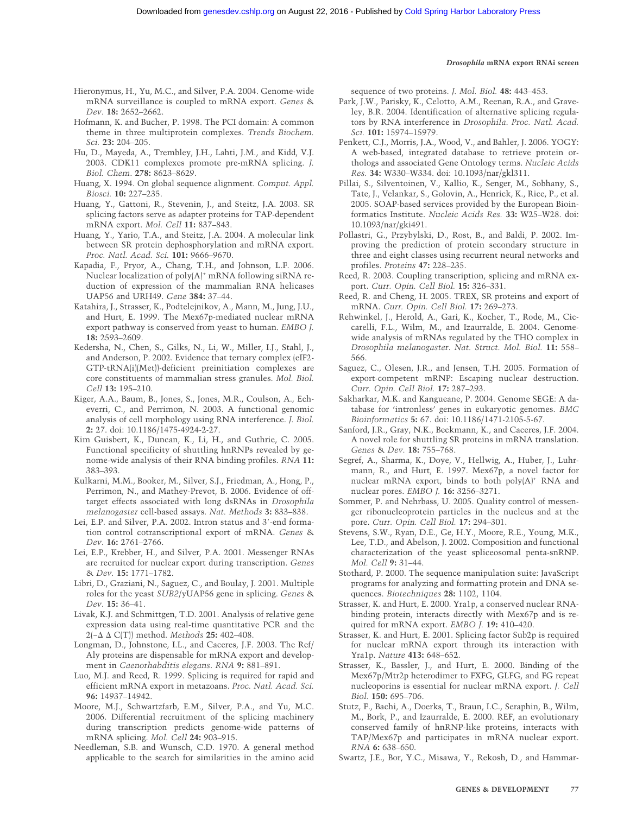- Hieronymus, H., Yu, M.C., and Silver, P.A. 2004. Genome-wide mRNA surveillance is coupled to mRNA export. *Genes* & *Dev.* **18:** 2652–2662.
- Hofmann, K. and Bucher, P. 1998. The PCI domain: A common theme in three multiprotein complexes. *Trends Biochem. Sci.* **23:** 204–205.
- Hu, D., Mayeda, A., Trembley, J.H., Lahti, J.M., and Kidd, V.J. 2003. CDK11 complexes promote pre-mRNA splicing. *J. Biol. Chem*. **278:** 8623–8629.
- Huang, X. 1994. On global sequence alignment. *Comput. Appl. Biosci.* **10:** 227–235.
- Huang, Y., Gattoni, R., Stevenin, J., and Steitz, J.A. 2003. SR splicing factors serve as adapter proteins for TAP-dependent mRNA export. *Mol. Cell* **11:** 837–843.
- Huang, Y., Yario, T.A., and Steitz, J.A. 2004. A molecular link between SR protein dephosphorylation and mRNA export. *Proc. Natl. Acad. Sci.* **101:** 9666–9670.
- Kapadia, F., Pryor, A., Chang, T.H., and Johnson, L.F. 2006. Nuclear localization of poly(A)<sup>+</sup> mRNA following siRNA reduction of expression of the mammalian RNA helicases UAP56 and URH49. *Gene* **384:** 37–44.
- Katahira, J., Strasser, K., Podtelejnikov, A., Mann, M., Jung, J.U., and Hurt, E. 1999. The Mex67p-mediated nuclear mRNA export pathway is conserved from yeast to human. *EMBO J.* **18:** 2593–2609.
- Kedersha, N., Chen, S., Gilks, N., Li, W., Miller, I.J., Stahl, J., and Anderson, P. 2002. Evidence that ternary complex (eIF2- GTP-tRNA(i)(Met))-deficient preinitiation complexes are core constituents of mammalian stress granules. *Mol. Biol. Cell* **13:** 195–210.
- Kiger, A.A., Baum, B., Jones, S., Jones, M.R., Coulson, A., Echeverri, C., and Perrimon, N. 2003. A functional genomic analysis of cell morphology using RNA interference. *J. Biol.* **2:** 27. doi: 10.1186/1475-4924-2-27.
- Kim Guisbert, K., Duncan, K., Li, H., and Guthrie, C. 2005. Functional specificity of shuttling hnRNPs revealed by genome-wide analysis of their RNA binding profiles. *RNA* **11:** 383–393.
- Kulkarni, M.M., Booker, M., Silver, S.J., Friedman, A., Hong, P., Perrimon, N., and Mathey-Prevot, B. 2006. Evidence of offtarget effects associated with long dsRNAs in *Drosophila melanogaster* cell-based assays. *Nat. Methods* **3:** 833–838.
- Lei, E.P. and Silver, P.A. 2002. Intron status and 3'-end formation control cotranscriptional export of mRNA. *Genes* & *Dev.* **16:** 2761–2766.
- Lei, E.P., Krebber, H., and Silver, P.A. 2001. Messenger RNAs are recruited for nuclear export during transcription. *Genes* & *Dev.* **15:** 1771–1782.
- Libri, D., Graziani, N., Saguez, C., and Boulay, J. 2001. Multiple roles for the yeast *SUB2*/yUAP56 gene in splicing. *Genes* & *Dev.* **15:** 36–41.
- Livak, K.J. and Schmittgen, T.D. 2001. Analysis of relative gene expression data using real-time quantitative PCR and the 2(−- - C(T)) method. *Methods* **25:** 402–408.
- Longman, D., Johnstone, I.L., and Caceres, J.F. 2003. The Ref/ Aly proteins are dispensable for mRNA export and development in *Caenorhabditis elegans*. *RNA* **9:** 881–891.
- Luo, M.J. and Reed, R. 1999. Splicing is required for rapid and efficient mRNA export in metazoans. *Proc. Natl. Acad. Sci.* **96:** 14937–14942.
- Moore, M.J., Schwartzfarb, E.M., Silver, P.A., and Yu, M.C. 2006. Differential recruitment of the splicing machinery during transcription predicts genome-wide patterns of mRNA splicing. *Mol. Cell* **24:** 903–915.
- Needleman, S.B. and Wunsch, C.D. 1970. A general method applicable to the search for similarities in the amino acid

sequence of two proteins. *J. Mol. Biol.* **48:** 443–453.

- Park, J.W., Parisky, K., Celotto, A.M., Reenan, R.A., and Graveley, B.R. 2004. Identification of alternative splicing regulators by RNA interference in *Drosophila*. *Proc. Natl. Acad. Sci.* **101:** 15974–15979.
- Penkett, C.J., Morris, J.A., Wood, V., and Bahler, J. 2006. YOGY: A web-based, integrated database to retrieve protein orthologs and associated Gene Ontology terms. *Nucleic Acids Res.* **34:** W330–W334. doi: 10.1093/nar/gkl311.
- Pillai, S., Silventoinen, V., Kallio, K., Senger, M., Sobhany, S., Tate, J., Velankar, S., Golovin, A., Henrick, K., Rice, P., et al. 2005. SOAP-based services provided by the European Bioinformatics Institute. *Nucleic Acids Res.* **33:** W25–W28. doi: 10.1093/nar/gki491.
- Pollastri, G., Przybylski, D., Rost, B., and Baldi, P. 2002. Improving the prediction of protein secondary structure in three and eight classes using recurrent neural networks and profiles. *Proteins* **47:** 228–235.
- Reed, R. 2003. Coupling transcription, splicing and mRNA export. *Curr. Opin. Cell Biol.* **15:** 326–331.
- Reed, R. and Cheng, H. 2005. TREX, SR proteins and export of mRNA. *Curr. Opin. Cell Biol.* **17:** 269–273.
- Rehwinkel, J., Herold, A., Gari, K., Kocher, T., Rode, M., Ciccarelli, F.L., Wilm, M., and Izaurralde, E. 2004. Genomewide analysis of mRNAs regulated by the THO complex in *Drosophila melanogaster*. *Nat. Struct. Mol. Biol.* **11:** 558– 566.
- Saguez, C., Olesen, J.R., and Jensen, T.H. 2005. Formation of export-competent mRNP: Escaping nuclear destruction. *Curr. Opin. Cell Biol.* **17:** 287–293.
- Sakharkar, M.K. and Kangueane, P. 2004. Genome SEGE: A database for 'intronless' genes in eukaryotic genomes. *BMC Bioinformatics* **5:** 67. doi: 10.1186/1471-2105-5-67.
- Sanford, J.R., Gray, N.K., Beckmann, K., and Caceres, J.F. 2004. A novel role for shuttling SR proteins in mRNA translation. *Genes* & *Dev.* **18:** 755–768.
- Segref, A., Sharma, K., Doye, V., Hellwig, A., Huber, J., Luhrmann, R., and Hurt, E. 1997. Mex67p, a novel factor for nuclear mRNA export, binds to both poly(A)+ RNA and nuclear pores. *EMBO J.* **16:** 3256–3271.
- Sommer, P. and Nehrbass, U. 2005. Quality control of messenger ribonucleoprotein particles in the nucleus and at the pore. *Curr. Opin. Cell Biol.* **17:** 294–301.
- Stevens, S.W., Ryan, D.E., Ge, H.Y., Moore, R.E., Young, M.K., Lee, T.D., and Abelson, J. 2002. Composition and functional characterization of the yeast spliceosomal penta-snRNP. *Mol. Cell* **9:** 31–44.
- Stothard, P. 2000. The sequence manipulation suite: JavaScript programs for analyzing and formatting protein and DNA sequences. *Biotechniques* **28:** 1102, 1104.
- Strasser, K. and Hurt, E. 2000. Yra1p, a conserved nuclear RNAbinding protein, interacts directly with Mex67p and is required for mRNA export. *EMBO J.* **19:** 410–420.
- Strasser, K. and Hurt, E. 2001. Splicing factor Sub2p is required for nuclear mRNA export through its interaction with Yra1p. *Nature* **413:** 648–652.
- Strasser, K., Bassler, J., and Hurt, E. 2000. Binding of the Mex67p/Mtr2p heterodimer to FXFG, GLFG, and FG repeat nucleoporins is essential for nuclear mRNA export. *J. Cell Biol.* **150:** 695–706.
- Stutz, F., Bachi, A., Doerks, T., Braun, I.C., Seraphin, B., Wilm, M., Bork, P., and Izaurralde, E. 2000. REF, an evolutionary conserved family of hnRNP-like proteins, interacts with TAP/Mex67p and participates in mRNA nuclear export. *RNA* **6:** 638–650.
- Swartz, J.E., Bor, Y.C., Misawa, Y., Rekosh, D., and Hammar-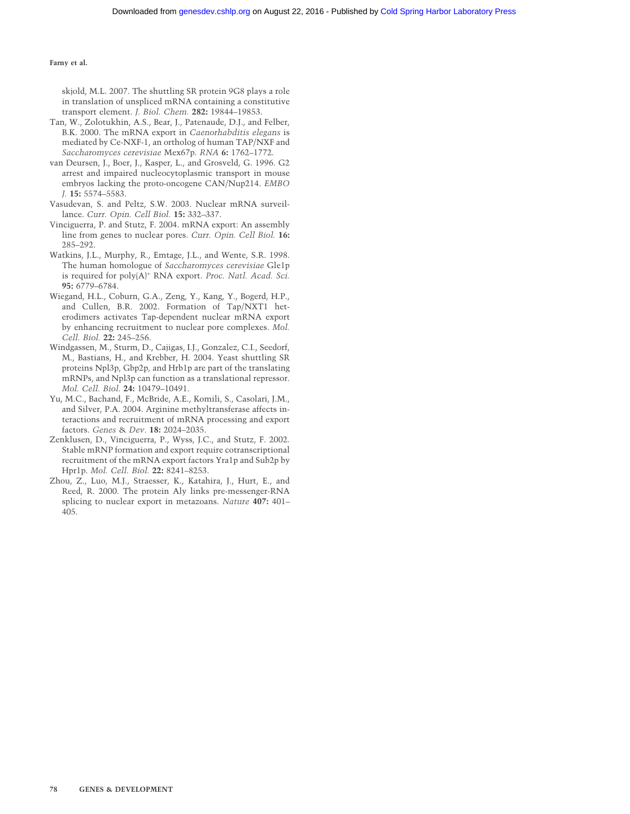skjold, M.L. 2007. The shuttling SR protein 9G8 plays a role in translation of unspliced mRNA containing a constitutive transport element. *J. Biol. Chem.* **282:** 19844–19853.

- Tan, W., Zolotukhin, A.S., Bear, J., Patenaude, D.J., and Felber, B.K. 2000. The mRNA export in *Caenorhabditis elegans* is mediated by Ce-NXF-1, an ortholog of human TAP/NXF and *Saccharomyces cerevisiae* Mex67p. *RNA* **6:** 1762–1772.
- van Deursen, J., Boer, J., Kasper, L., and Grosveld, G. 1996. G2 arrest and impaired nucleocytoplasmic transport in mouse embryos lacking the proto-oncogene CAN/Nup214. *EMBO J.* **15:** 5574–5583.
- Vasudevan, S. and Peltz, S.W. 2003. Nuclear mRNA surveillance. *Curr. Opin. Cell Biol.* **15:** 332–337.
- Vinciguerra, P. and Stutz, F. 2004. mRNA export: An assembly line from genes to nuclear pores. *Curr. Opin. Cell Biol.* **16:** 285–292.
- Watkins, J.L., Murphy, R., Emtage, J.L., and Wente, S.R. 1998. The human homologue of *Saccharomyces cerevisiae* Gle1p is required for poly(A)<sup>+</sup> RNA export. *Proc. Natl. Acad. Sci.* **95:** 6779–6784.
- Wiegand, H.L., Coburn, G.A., Zeng, Y., Kang, Y., Bogerd, H.P., and Cullen, B.R. 2002. Formation of Tap/NXT1 heterodimers activates Tap-dependent nuclear mRNA export by enhancing recruitment to nuclear pore complexes. *Mol. Cell. Biol.* **22:** 245–256.
- Windgassen, M., Sturm, D., Cajigas, I.J., Gonzalez, C.I., Seedorf, M., Bastians, H., and Krebber, H. 2004. Yeast shuttling SR proteins Npl3p, Gbp2p, and Hrb1p are part of the translating mRNPs, and Npl3p can function as a translational repressor. *Mol. Cell. Biol.* **24:** 10479–10491.
- Yu, M.C., Bachand, F., McBride, A.E., Komili, S., Casolari, J.M., and Silver, P.A. 2004. Arginine methyltransferase affects interactions and recruitment of mRNA processing and export factors. *Genes* & *Dev.* **18:** 2024–2035.
- Zenklusen, D., Vinciguerra, P., Wyss, J.C., and Stutz, F. 2002. Stable mRNP formation and export require cotranscriptional recruitment of the mRNA export factors Yra1p and Sub2p by Hpr1p. *Mol. Cell. Biol.* **22:** 8241–8253.
- Zhou, Z., Luo, M.J., Straesser, K., Katahira, J., Hurt, E., and Reed, R. 2000. The protein Aly links pre-messenger-RNA splicing to nuclear export in metazoans. *Nature* **407:** 401– 405.